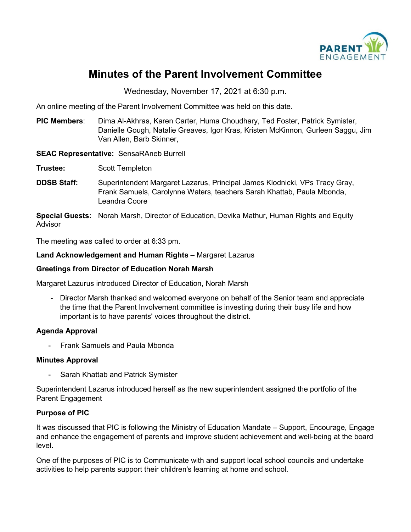

# **Minutes of the Parent Involvement Committee**

Wednesday, November 17, 2021 at 6:30 p.m.

An online meeting of the Parent Involvement Committee was held on this date.

**PIC Members**: Dima Al-Akhras, Karen Carter, Huma Choudhary, Ted Foster, Patrick Symister, Danielle Gough, Natalie Greaves, Igor Kras, Kristen McKinnon, Gurleen Saggu, Jim Van Allen, Barb Skinner,

#### **SEAC Representative:** SensaRAneb Burrell

- **Trustee:** Scott Templeton
- **DDSB Staff:** Superintendent Margaret Lazarus, Principal James Klodnicki, VPs Tracy Gray, Frank Samuels, Carolynne Waters, teachers Sarah Khattab, Paula Mbonda, Leandra Coore

**Special Guests:** Norah Marsh, Director of Education, Devika Mathur, Human Rights and Equity Advisor

The meeting was called to order at 6:33 pm.

#### **Land Acknowledgement and Human Rights –** Margaret Lazarus

#### **Greetings from Director of Education Norah Marsh**

Margaret Lazurus introduced Director of Education, Norah Marsh

- Director Marsh thanked and welcomed everyone on behalf of the Senior team and appreciate the time that the Parent Involvement committee is investing during their busy life and how important is to have parents' voices throughout the district.

#### **Agenda Approval**

- Frank Samuels and Paula Mbonda

#### **Minutes Approval**

Sarah Khattab and Patrick Symister

Superintendent Lazarus introduced herself as the new superintendent assigned the portfolio of the Parent Engagement

#### **Purpose of PIC**

It was discussed that PIC is following the Ministry of Education Mandate – Support, Encourage, Engage and enhance the engagement of parents and improve student achievement and well-being at the board level.

One of the purposes of PIC is to Communicate with and support local school councils and undertake activities to help parents support their children's learning at home and school.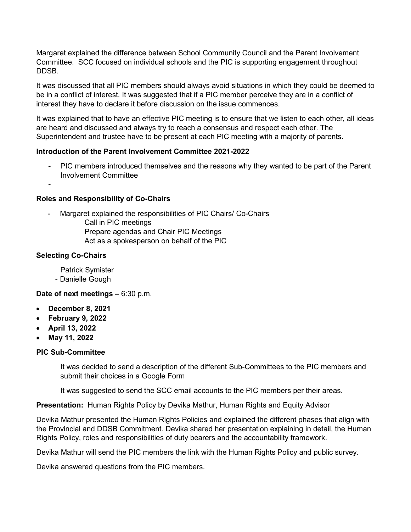Margaret explained the difference between School Community Council and the Parent Involvement Committee. SCC focused on individual schools and the PIC is supporting engagement throughout DDSB.

It was discussed that all PIC members should always avoid situations in which they could be deemed to be in a conflict of interest. It was suggested that if a PIC member perceive they are in a conflict of interest they have to declare it before discussion on the issue commences.

It was explained that to have an effective PIC meeting is to ensure that we listen to each other, all ideas are heard and discussed and always try to reach a consensus and respect each other. The Superintendent and trustee have to be present at each PIC meeting with a majority of parents.

## **Introduction of the Parent Involvement Committee 2021-2022**

- PIC members introduced themselves and the reasons why they wanted to be part of the Parent Involvement Committee
- -

#### **Roles and Responsibility of Co-Chairs**

- Margaret explained the responsibilities of PIC Chairs/ Co-Chairs Call in PIC meetings Prepare agendas and Chair PIC Meetings Act as a spokesperson on behalf of the PIC

## **Selecting Co-Chairs**

Patrick Symister

- Danielle Gough

**Date of next meetings –** 6:30 p.m.

- **December 8, 2021**
- **February 9, 2022**
- **April 13, 2022**
- **May 11, 2022**

#### **PIC Sub-Committee**

It was decided to send a description of the different Sub-Committees to the PIC members and submit their choices in a Google Form

It was suggested to send the SCC email accounts to the PIC members per their areas.

**Presentation:** Human Rights Policy by Devika Mathur, Human Rights and Equity Advisor

Devika Mathur presented the Human Rights Policies and explained the different phases that align with the Provincial and DDSB Commitment. Devika shared her presentation explaining in detail, the Human Rights Policy, roles and responsibilities of duty bearers and the accountability framework.

Devika Mathur will send the PIC members the link with the Human Rights Policy and public survey.

Devika answered questions from the PIC members.